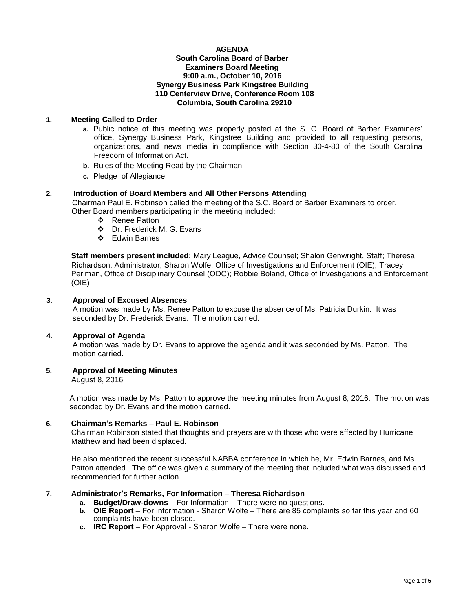## **AGENDA South Carolina Board of Barber Examiners Board Meeting 9:00 a.m., October 10, 2016 Synergy Business Park Kingstree Building 110 Centerview Drive, Conference Room 108 Columbia, South Carolina 29210**

# **1. Meeting Called to Order**

- **a.** Public notice of this meeting was properly posted at the S. C. Board of Barber Examiners' office, Synergy Business Park, Kingstree Building and provided to all requesting persons, organizations, and news media in compliance with Section 30-4-80 of the South Carolina Freedom of Information Act.
- **b.** Rules of the Meeting Read by the Chairman
- **c.** Pledge of Allegiance

# **2. Introduction of Board Members and All Other Persons Attending**

Chairman Paul E. Robinson called the meeting of the S.C. Board of Barber Examiners to order. Other Board members participating in the meeting included:

- ❖ Renee Patton
- Dr. Frederick M. G. Evans
- Edwin Barnes

**Staff members present included:** Mary League, Advice Counsel; Shalon Genwright, Staff; Theresa Richardson, Administrator; Sharon Wolfe, Office of Investigations and Enforcement (OIE); Tracey Perlman, Office of Disciplinary Counsel (ODC); Robbie Boland, Office of Investigations and Enforcement (OIE)

# **3. Approval of Excused Absences**

A motion was made by Ms. Renee Patton to excuse the absence of Ms. Patricia Durkin. It was seconded by Dr. Frederick Evans. The motion carried.

# **4. Approval of Agenda**

A motion was made by Dr. Evans to approve the agenda and it was seconded by Ms. Patton. The motion carried.

# **5. Approval of Meeting Minutes**

August 8, 2016

A motion was made by Ms. Patton to approve the meeting minutes from August 8, 2016. The motion was seconded by Dr. Evans and the motion carried.

# **6. Chairman's Remarks – Paul E. Robinson**

Chairman Robinson stated that thoughts and prayers are with those who were affected by Hurricane Matthew and had been displaced.

He also mentioned the recent successful NABBA conference in which he, Mr. Edwin Barnes, and Ms. Patton attended. The office was given a summary of the meeting that included what was discussed and recommended for further action.

# **7. Administrator's Remarks, For Information – Theresa Richardson**

- **a. Budget/Draw-downs** For Information There were no questions.
- **b. OIE Report**  For Information Sharon Wolfe There are 85 complaints so far this year and 60 complaints have been closed.
- **c. IRC Report**  For Approval Sharon Wolfe There were none.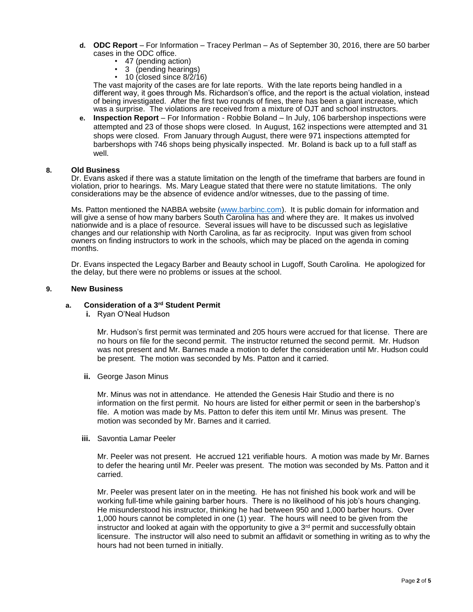- **d. ODC Report**  For Information Tracey Perlman As of September 30, 2016, there are 50 barber cases in the ODC office.
	- 47 (pending action)
		- 3 (pending hearings)
	- $\cdot$  10 (closed since 8/2/16)

The vast majority of the cases are for late reports. With the late reports being handled in a different way, it goes through Ms. Richardson's office, and the report is the actual violation, instead of being investigated. After the first two rounds of fines, there has been a giant increase, which was a surprise. The violations are received from a mixture of OJT and school instructors.

**e. Inspection Report** – For Information - Robbie Boland – In July, 106 barbershop inspections were attempted and 23 of those shops were closed. In August, 162 inspections were attempted and 31 shops were closed. From January through August, there were 971 inspections attempted for barbershops with 746 shops being physically inspected. Mr. Boland is back up to a full staff as well.

#### **8. Old Business**

Dr. Evans asked if there was a statute limitation on the length of the timeframe that barbers are found in violation, prior to hearings. Ms. Mary League stated that there were no statute limitations. The only considerations may be the absence of evidence and/or witnesses, due to the passing of time.

Ms. Patton mentioned the NABBA website [\(www.barbinc.com\)](http://www.barbinc.com/). It is public domain for information and will give a sense of how many barbers South Carolina has and where they are. It makes us involved nationwide and is a place of resource. Several issues will have to be discussed such as legislative changes and our relationship with North Carolina, as far as reciprocity. Input was given from school owners on finding instructors to work in the schools, which may be placed on the agenda in coming months.

Dr. Evans inspected the Legacy Barber and Beauty school in Lugoff, South Carolina. He apologized for the delay, but there were no problems or issues at the school.

#### **9. New Business**

## **a. Consideration of a 3rd Student Permit**

**i.** Ryan O'Neal Hudson

Mr. Hudson's first permit was terminated and 205 hours were accrued for that license. There are no hours on file for the second permit. The instructor returned the second permit. Mr. Hudson was not present and Mr. Barnes made a motion to defer the consideration until Mr. Hudson could be present. The motion was seconded by Ms. Patton and it carried.

**ii.** George Jason Minus

Mr. Minus was not in attendance. He attended the Genesis Hair Studio and there is no information on the first permit. No hours are listed for either permit or seen in the barbershop's file. A motion was made by Ms. Patton to defer this item until Mr. Minus was present. The motion was seconded by Mr. Barnes and it carried.

**iii.** Savontia Lamar Peeler

Mr. Peeler was not present. He accrued 121 verifiable hours. A motion was made by Mr. Barnes to defer the hearing until Mr. Peeler was present. The motion was seconded by Ms. Patton and it carried.

Mr. Peeler was present later on in the meeting. He has not finished his book work and will be working full-time while gaining barber hours. There is no likelihood of his job's hours changing. He misunderstood his instructor, thinking he had between 950 and 1,000 barber hours. Over 1,000 hours cannot be completed in one (1) year. The hours will need to be given from the instructor and looked at again with the opportunity to give a  $3<sup>rd</sup>$  permit and successfully obtain licensure. The instructor will also need to submit an affidavit or something in writing as to why the hours had not been turned in initially.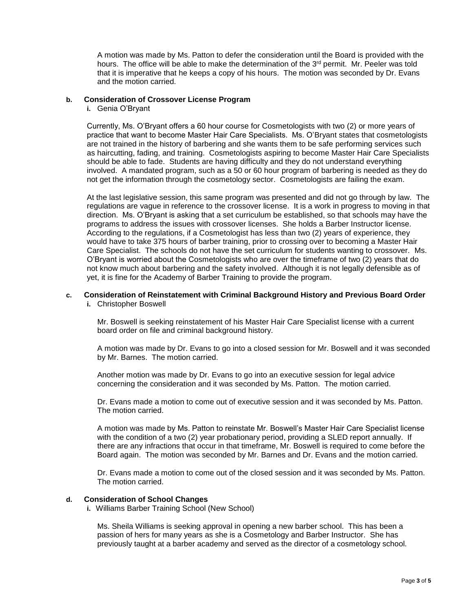A motion was made by Ms. Patton to defer the consideration until the Board is provided with the hours. The office will be able to make the determination of the 3<sup>rd</sup> permit. Mr. Peeler was told that it is imperative that he keeps a copy of his hours. The motion was seconded by Dr. Evans and the motion carried.

### **b. Consideration of Crossover License Program**

**i.** Genia O'Bryant

Currently, Ms. O'Bryant offers a 60 hour course for Cosmetologists with two (2) or more years of practice that want to become Master Hair Care Specialists. Ms. O'Bryant states that cosmetologists are not trained in the history of barbering and she wants them to be safe performing services such as haircutting, fading, and training. Cosmetologists aspiring to become Master Hair Care Specialists should be able to fade. Students are having difficulty and they do not understand everything involved. A mandated program, such as a 50 or 60 hour program of barbering is needed as they do not get the information through the cosmetology sector. Cosmetologists are failing the exam.

At the last legislative session, this same program was presented and did not go through by law. The regulations are vague in reference to the crossover license. It is a work in progress to moving in that direction. Ms. O'Bryant is asking that a set curriculum be established, so that schools may have the programs to address the issues with crossover licenses. She holds a Barber Instructor license. According to the regulations, if a Cosmetologist has less than two (2) years of experience, they would have to take 375 hours of barber training, prior to crossing over to becoming a Master Hair Care Specialist. The schools do not have the set curriculum for students wanting to crossover. Ms. O'Bryant is worried about the Cosmetologists who are over the timeframe of two (2) years that do not know much about barbering and the safety involved. Although it is not legally defensible as of yet, it is fine for the Academy of Barber Training to provide the program.

# **c. Consideration of Reinstatement with Criminal Background History and Previous Board Order**

**i.** Christopher Boswell

Mr. Boswell is seeking reinstatement of his Master Hair Care Specialist license with a current board order on file and criminal background history.

A motion was made by Dr. Evans to go into a closed session for Mr. Boswell and it was seconded by Mr. Barnes. The motion carried.

Another motion was made by Dr. Evans to go into an executive session for legal advice concerning the consideration and it was seconded by Ms. Patton. The motion carried.

Dr. Evans made a motion to come out of executive session and it was seconded by Ms. Patton. The motion carried.

A motion was made by Ms. Patton to reinstate Mr. Boswell's Master Hair Care Specialist license with the condition of a two (2) year probationary period, providing a SLED report annually. If there are any infractions that occur in that timeframe, Mr. Boswell is required to come before the Board again. The motion was seconded by Mr. Barnes and Dr. Evans and the motion carried.

Dr. Evans made a motion to come out of the closed session and it was seconded by Ms. Patton. The motion carried.

# **d. Consideration of School Changes**

**i.** Williams Barber Training School (New School)

Ms. Sheila Williams is seeking approval in opening a new barber school. This has been a passion of hers for many years as she is a Cosmetology and Barber Instructor. She has previously taught at a barber academy and served as the director of a cosmetology school.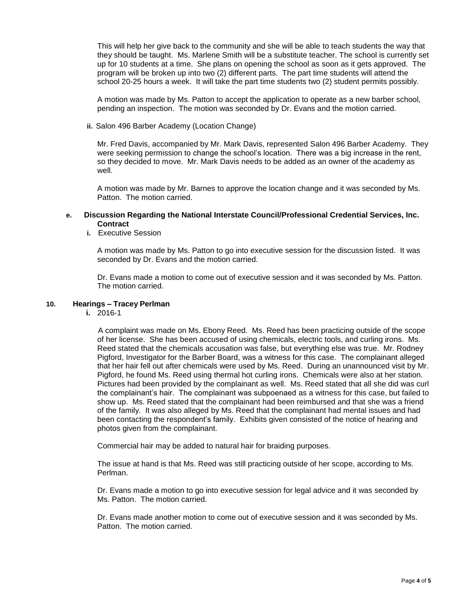This will help her give back to the community and she will be able to teach students the way that they should be taught. Ms. Marlene Smith will be a substitute teacher. The school is currently set up for 10 students at a time. She plans on opening the school as soon as it gets approved. The program will be broken up into two (2) different parts. The part time students will attend the school 20-25 hours a week. It will take the part time students two (2) student permits possibly.

A motion was made by Ms. Patton to accept the application to operate as a new barber school, pending an inspection. The motion was seconded by Dr. Evans and the motion carried.

**ii.** Salon 496 Barber Academy (Location Change)

Mr. Fred Davis, accompanied by Mr. Mark Davis, represented Salon 496 Barber Academy. They were seeking permission to change the school's location. There was a big increase in the rent, so they decided to move. Mr. Mark Davis needs to be added as an owner of the academy as well.

A motion was made by Mr. Barnes to approve the location change and it was seconded by Ms. Patton. The motion carried.

## **e. Discussion Regarding the National Interstate Council/Professional Credential Services, Inc. Contract**

**i.** Executive Session

A motion was made by Ms. Patton to go into executive session for the discussion listed. It was seconded by Dr. Evans and the motion carried.

Dr. Evans made a motion to come out of executive session and it was seconded by Ms. Patton. The motion carried.

## **10. Hearings – Tracey Perlman**

**i.** 2016-1

 A complaint was made on Ms. Ebony Reed. Ms. Reed has been practicing outside of the scope of her license. She has been accused of using chemicals, electric tools, and curling irons. Ms. Reed stated that the chemicals accusation was false, but everything else was true. Mr. Rodney Pigford, Investigator for the Barber Board, was a witness for this case. The complainant alleged that her hair fell out after chemicals were used by Ms. Reed. During an unannounced visit by Mr. Pigford, he found Ms. Reed using thermal hot curling irons. Chemicals were also at her station. Pictures had been provided by the complainant as well. Ms. Reed stated that all she did was curl the complainant's hair. The complainant was subpoenaed as a witness for this case, but failed to show up. Ms. Reed stated that the complainant had been reimbursed and that she was a friend of the family. It was also alleged by Ms. Reed that the complainant had mental issues and had been contacting the respondent's family. Exhibits given consisted of the notice of hearing and photos given from the complainant.

Commercial hair may be added to natural hair for braiding purposes.

The issue at hand is that Ms. Reed was still practicing outside of her scope, according to Ms. Perlman.

Dr. Evans made a motion to go into executive session for legal advice and it was seconded by Ms. Patton. The motion carried.

Dr. Evans made another motion to come out of executive session and it was seconded by Ms. Patton. The motion carried.